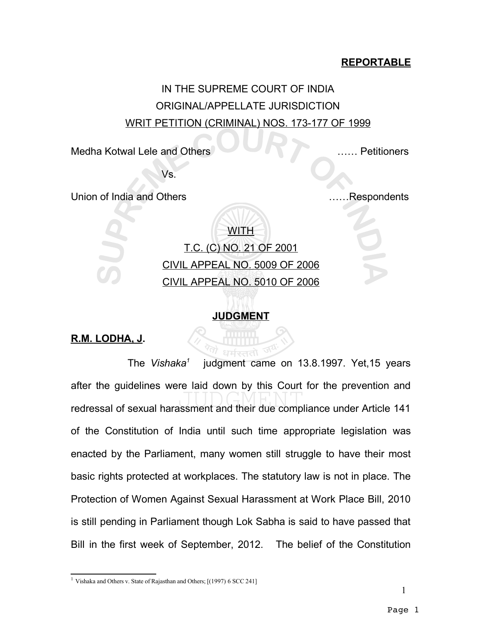#### **REPORTABLE**

## IN THE SUPREME COURT OF INDIA ORIGINAL/APPELLATE JURISDICTION WRIT PETITION (CRIMINAL) NOS. 173-177 OF 1999

Medha Kotwal Lele and Others **Example 2018** 2019 11:00 Petitioners

Vs.

Union of India and Others **Executive Contract Contract Contract Contract Contract Contract Contract Contract Contract Contract Contract Contract Contract Contract Contract Contract Contract Contract Contract Contract Contr** 

# WITH

 T.C. (C) NO. 21 OF 2001 CIVIL APPEAL NO. 5009 OF 2006 CIVIL APPEAL NO. 5010 OF 2006

## **JUDGMENT**

 **R.M. LODHA, J.**

The *Vishaka[1](#page-0-0)* judgment came on 13.8.1997. Yet,15 years after the guidelines were laid down by this Court for the prevention and redressal of sexual harassment and their due compliance under Article 141 of the Constitution of India until such time appropriate legislation was enacted by the Parliament, many women still struggle to have their most basic rights protected at workplaces. The statutory law is not in place. The Protection of Women Against Sexual Harassment at Work Place Bill, 2010 is still pending in Parliament though Lok Sabha is said to have passed that Bill in the first week of September, 2012. The belief of the Constitution

<span id="page-0-0"></span><sup>&</sup>lt;sup>1</sup> Vishaka and Others v. State of Rajasthan and Others; [(1997) 6 SCC 241]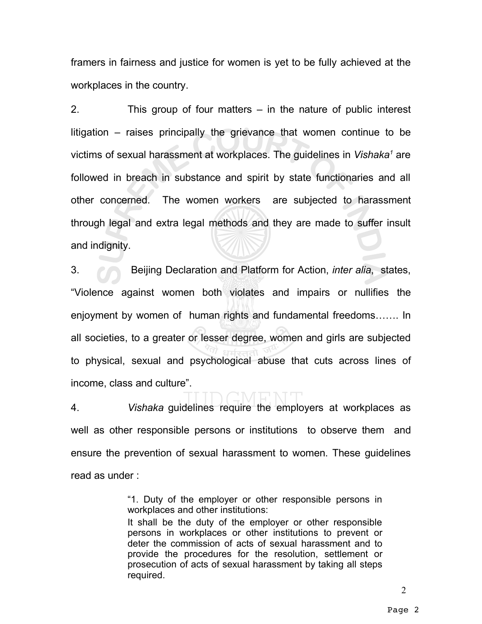framers in fairness and justice for women is yet to be fully achieved at the workplaces in the country.

2. This group of four matters – in the nature of public interest litigation – raises principally the grievance that women continue to be victims of sexual harassment at workplaces. The guidelines in *Vishaka<sup>1</sup>* are followed in breach in substance and spirit by state functionaries and all other concerned. The women workers are subjected to harassment through legal and extra legal methods and they are made to suffer insult and indignity.

3. Beijing Declaration and Platform for Action, *inter alia*, states, "Violence against women both violates and impairs or nullifies the enjoyment by women of human rights and fundamental freedoms……. In all societies, to a greater or lesser degree, women and girls are subjected to physical, sexual and psychological abuse that cuts across lines of income, class and culture".

4. *Vishaka* guidelines require the employers at workplaces as well as other responsible persons or institutions to observe them and ensure the prevention of sexual harassment to women. These guidelines read as under :

> "1. Duty of the employer or other responsible persons in workplaces and other institutions: It shall be the duty of the employer or other responsible persons in workplaces or other institutions to prevent or deter the commission of acts of sexual harassment and to provide the procedures for the resolution, settlement or prosecution of acts of sexual harassment by taking all steps required.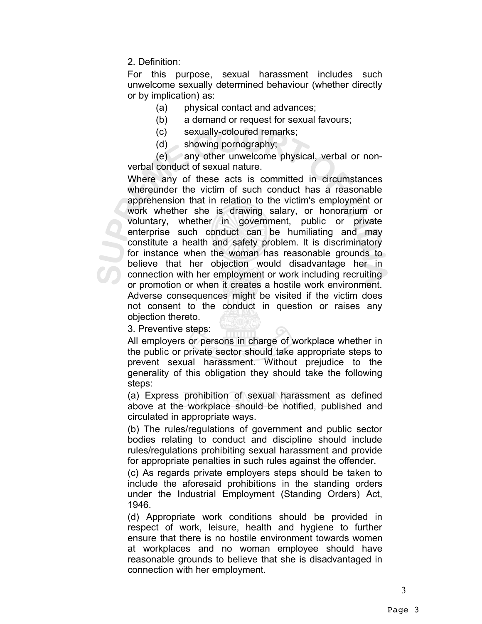2. Definition:

For this purpose, sexual harassment includes such unwelcome sexually determined behaviour (whether directly or by implication) as:

- (a) physical contact and advances;
- (b) a demand or request for sexual favours;
- (c) sexually-coloured remarks;
- (d) showing pornography;

 $(e)$  any other unwelcome physical, verbal or nonverbal conduct of sexual nature.

Where any of these acts is committed in circumstances whereunder the victim of such conduct has a reasonable apprehension that in relation to the victim's employment or work whether she is drawing salary, or honorarium or voluntary, whether in government, public or private enterprise such conduct can be humiliating and may constitute a health and safety problem. It is discriminatory for instance when the woman has reasonable grounds to believe that her objection would disadvantage her in connection with her employment or work including recruiting or promotion or when it creates a hostile work environment. Adverse consequences might be visited if the victim does not consent to the conduct in question or raises any objection thereto.

3. Preventive steps:

All employers or persons in charge of workplace whether in the public or private sector should take appropriate steps to prevent sexual harassment. Without prejudice to the generality of this obligation they should take the following steps:

(a) Express prohibition of sexual harassment as defined above at the workplace should be notified, published and circulated in appropriate ways.

(b) The rules/regulations of government and public sector bodies relating to conduct and discipline should include rules/regulations prohibiting sexual harassment and provide for appropriate penalties in such rules against the offender.

(c) As regards private employers steps should be taken to include the aforesaid prohibitions in the standing orders under the Industrial Employment (Standing Orders) Act, 1946.

(d) Appropriate work conditions should be provided in respect of work, leisure, health and hygiene to further ensure that there is no hostile environment towards women at workplaces and no woman employee should have reasonable grounds to believe that she is disadvantaged in connection with her employment.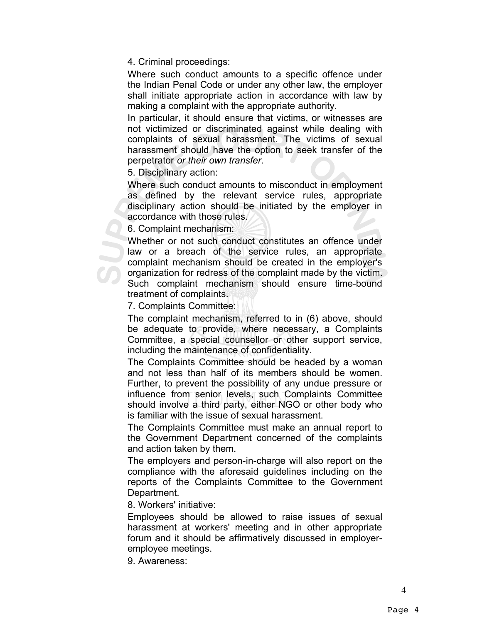4. Criminal proceedings:

Where such conduct amounts to a specific offence under the Indian Penal Code or under any other law, the employer shall initiate appropriate action in accordance with law by making a complaint with the appropriate authority.

In particular, it should ensure that victims, or witnesses are not victimized or discriminated against while dealing with complaints of sexual harassment. The victims of sexual harassment should have the option to seek transfer of the perpetrator *or their own transfer*.

5. Disciplinary action:

Where such conduct amounts to misconduct in employment as defined by the relevant service rules, appropriate disciplinary action should be initiated by the employer in accordance with those rules.

6. Complaint mechanism:

Whether or not such conduct constitutes an offence under law or a breach of the service rules, an appropriate complaint mechanism should be created in the employer's organization for redress of the complaint made by the victim. Such complaint mechanism should ensure time-bound treatment of complaints.

7. Complaints Committee:

The complaint mechanism, referred to in (6) above, should be adequate to provide, where necessary, a Complaints Committee, a special counsellor or other support service, including the maintenance of confidentiality.

The Complaints Committee should be headed by a woman and not less than half of its members should be women. Further, to prevent the possibility of any undue pressure or influence from senior levels, such Complaints Committee should involve a third party, either NGO or other body who is familiar with the issue of sexual harassment.

The Complaints Committee must make an annual report to the Government Department concerned of the complaints and action taken by them.

The employers and person-in-charge will also report on the compliance with the aforesaid guidelines including on the reports of the Complaints Committee to the Government Department.

8. Workers' initiative:

Employees should be allowed to raise issues of sexual harassment at workers' meeting and in other appropriate forum and it should be affirmatively discussed in employeremployee meetings.

9. Awareness: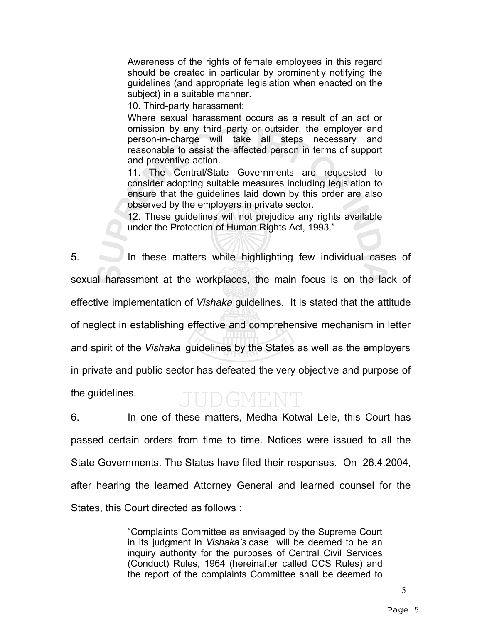Awareness of the rights of female employees in this regard should be created in particular by prominently notifying the guidelines (and appropriate legislation when enacted on the subject) in a suitable manner.

10. Third-party harassment:

Where sexual harassment occurs as a result of an act or omission by any third party or outsider, the employer and person-in-charge will take all steps necessary and reasonable to assist the affected person in terms of support and preventive action.

11. The Central/State Governments are requested to consider adopting suitable measures including legislation to ensure that the guidelines laid down by this order are also observed by the employers in private sector.

12. These guidelines will not prejudice any rights available under the Protection of Human Rights Act, 1993."

5. In these matters while highlighting few individual cases of sexual harassment at the workplaces, the main focus is on the lack of effective implementation of *Vishaka* guidelines. It is stated that the attitude of neglect in establishing effective and comprehensive mechanism in letter and spirit of the *Vishaka* guidelines by the States as well as the employers in private and public sector has defeated the very objective and purpose of the guidelines.

6. In one of these matters, Medha Kotwal Lele, this Court has passed certain orders from time to time. Notices were issued to all the State Governments. The States have filed their responses. On 26.4.2004, after hearing the learned Attorney General and learned counsel for the States, this Court directed as follows :

> "Complaints Committee as envisaged by the Supreme Court in its judgment in *Vishaka's* case will be deemed to be an inquiry authority for the purposes of Central Civil Services (Conduct) Rules, 1964 (hereinafter called CCS Rules) and the report of the complaints Committee shall be deemed to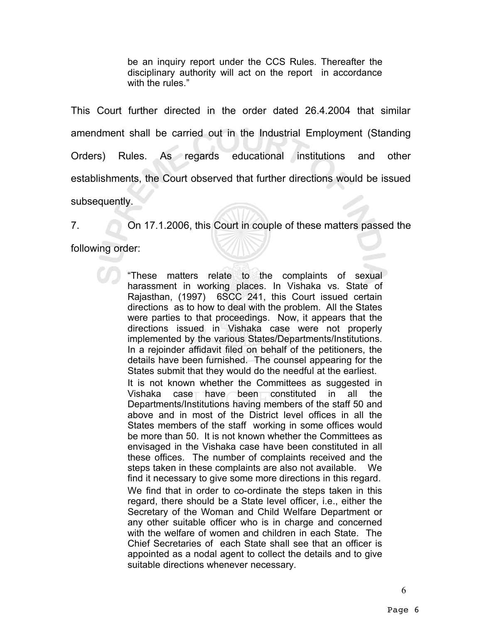be an inquiry report under the CCS Rules. Thereafter the disciplinary authority will act on the report in accordance with the rules."

This Court further directed in the order dated 26.4.2004 that similar amendment shall be carried out in the Industrial Employment (Standing Orders) Rules. As regards educational institutions and other establishments, the Court observed that further directions would be issued subsequently.

7. On 17.1.2006, this Court in couple of these matters passed the

following order:

"These matters relate to the complaints of sexual harassment in working places. In Vishaka vs. State of Rajasthan, (1997) 6SCC 241, this Court issued certain directions as to how to deal with the problem. All the States were parties to that proceedings. Now, it appears that the directions issued in Vishaka case were not properly implemented by the various States/Departments/Institutions. In a rejoinder affidavit filed on behalf of the petitioners, the details have been furnished. The counsel appearing for the States submit that they would do the needful at the earliest.

It is not known whether the Committees as suggested in Vishaka case have been constituted in all the Departments/Institutions having members of the staff 50 and above and in most of the District level offices in all the States members of the staff working in some offices would be more than 50. It is not known whether the Committees as envisaged in the Vishaka case have been constituted in all these offices. The number of complaints received and the steps taken in these complaints are also not available. We find it necessary to give some more directions in this regard. We find that in order to co-ordinate the steps taken in this regard, there should be a State level officer, i.e., either the Secretary of the Woman and Child Welfare Department or any other suitable officer who is in charge and concerned with the welfare of women and children in each State. The Chief Secretaries of each State shall see that an officer is appointed as a nodal agent to collect the details and to give suitable directions whenever necessary.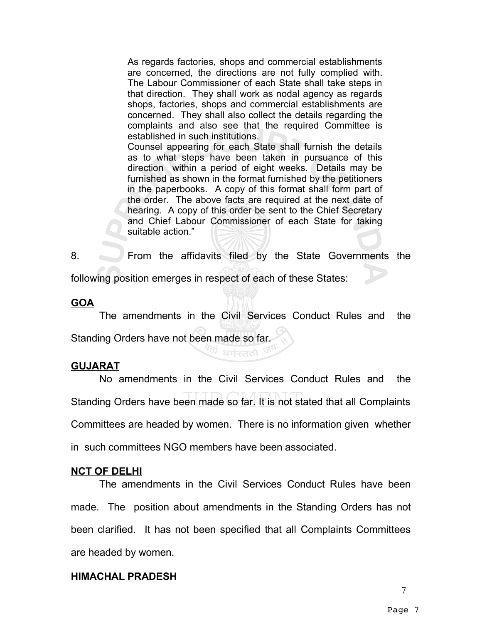As regards factories, shops and commercial establishments are concerned, the directions are not fully complied with. The Labour Commissioner of each State shall take steps in that direction. They shall work as nodal agency as regards shops, factories, shops and commercial establishments are concerned. They shall also collect the details regarding the complaints and also see that the required Committee is established in such institutions.

Counsel appearing for each State shall furnish the details as to what steps have been taken in pursuance of this direction within a period of eight weeks. Details may be furnished as shown in the format furnished by the petitioners in the paperbooks. A copy of this format shall form part of the order. The above facts are required at the next date of hearing. A copy of this order be sent to the Chief Secretary and Chief Labour Commissioner of each State for taking suitable action."

8. From the affidavits filed by the State Governments the following position emerges in respect of each of these States:

#### **GOA**

The amendments in the Civil Services Conduct Rules and the Standing Orders have not been made so far.

धर्मस्ततो

#### **GUJARAT**

No amendments in the Civil Services Conduct Rules and the Standing Orders have been made so far. It is not stated that all Complaints Committees are headed by women. There is no information given whether in such committees NGO members have been associated.

#### **NCT OF DELHI**

The amendments in the Civil Services Conduct Rules have been made. The position about amendments in the Standing Orders has not been clarified. It has not been specified that all Complaints Committees are headed by women.

#### **HIMACHAL PRADESH**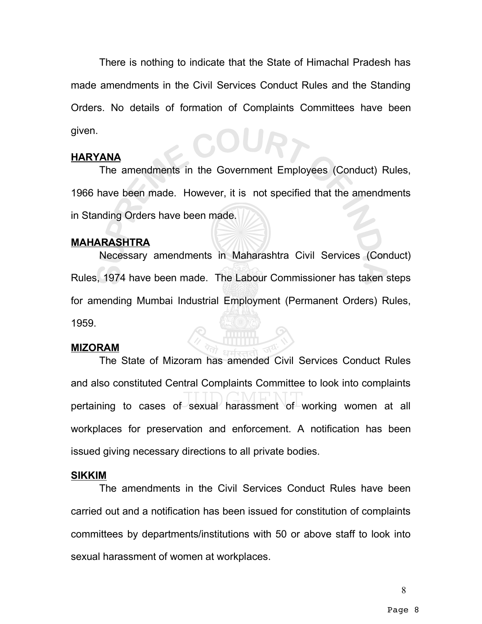There is nothing to indicate that the State of Himachal Pradesh has made amendments in the Civil Services Conduct Rules and the Standing Orders. No details of formation of Complaints Committees have been given.

#### **HARYANA**

The amendments in the Government Employees (Conduct) Rules, 1966 have been made. However, it is not specified that the amendments in Standing Orders have been made.

#### **MAHARASHTRA**

Necessary amendments in Maharashtra Civil Services (Conduct) Rules, 1974 have been made. The Labour Commissioner has taken steps for amending Mumbai Industrial Employment (Permanent Orders) Rules, 1959.

#### **MIZORAM**

The State of Mizoram has amended Civil Services Conduct Rules and also constituted Central Complaints Committee to look into complaints pertaining to cases of sexual harassment of working women at all workplaces for preservation and enforcement. A notification has been issued giving necessary directions to all private bodies.

#### **SIKKIM**

The amendments in the Civil Services Conduct Rules have been carried out and a notification has been issued for constitution of complaints committees by departments/institutions with 50 or above staff to look into sexual harassment of women at workplaces.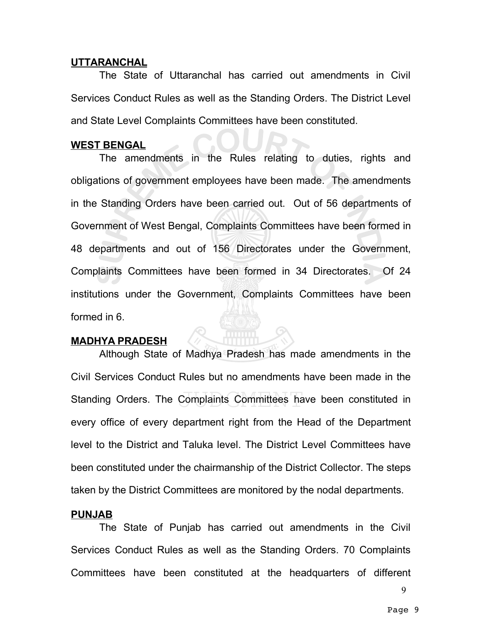#### **UTTARANCHAL**

The State of Uttaranchal has carried out amendments in Civil Services Conduct Rules as well as the Standing Orders. The District Level and State Level Complaints Committees have been constituted.

#### **WEST BENGAL**

The amendments in the Rules relating to duties, rights and obligations of government employees have been made. The amendments in the Standing Orders have been carried out. Out of 56 departments of Government of West Bengal, Complaints Committees have been formed in 48 departments and out of 156 Directorates under the Government, Complaints Committees have been formed in 34 Directorates. Of 24 institutions under the Government, Complaints Committees have been formed in 6.

#### **MADHYA PRADESH**

Although State of Madhya Pradesh has made amendments in the Civil Services Conduct Rules but no amendments have been made in the Standing Orders. The Complaints Committees have been constituted in every office of every department right from the Head of the Department level to the District and Taluka level. The District Level Committees have been constituted under the chairmanship of the District Collector. The steps taken by the District Committees are monitored by the nodal departments.

#### **PUNJAB**

The State of Punjab has carried out amendments in the Civil Services Conduct Rules as well as the Standing Orders. 70 Complaints Committees have been constituted at the headquarters of different

9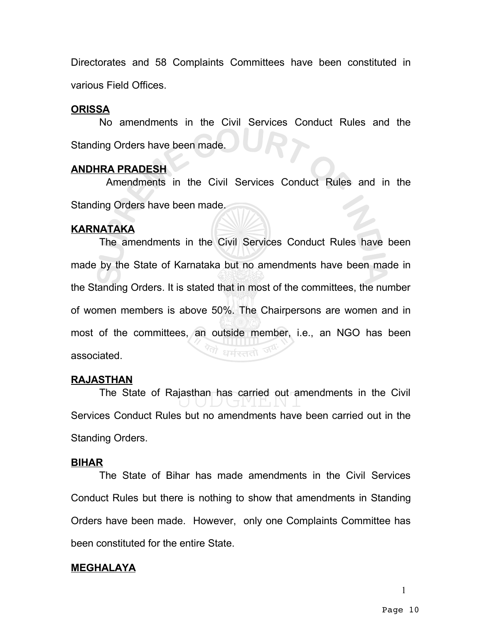Directorates and 58 Complaints Committees have been constituted in various Field Offices.

#### **ORISSA**

No amendments in the Civil Services Conduct Rules and the Standing Orders have been made.

#### **ANDHRA PRADESH**

Amendments in the Civil Services Conduct Rules and in the Standing Orders have been made.

## **KARNATAKA**

The amendments in the Civil Services Conduct Rules have been made by the State of Karnataka but no amendments have been made in the Standing Orders. It is stated that in most of the committees, the number of women members is above 50%. The Chairpersons are women and in most of the committees, an outside member, i.e., an NGO has been associated.

#### **RAJASTHAN**

The State of Rajasthan has carried out amendments in the Civil Services Conduct Rules but no amendments have been carried out in the Standing Orders.

#### **BIHAR**

The State of Bihar has made amendments in the Civil Services Conduct Rules but there is nothing to show that amendments in Standing Orders have been made. However, only one Complaints Committee has been constituted for the entire State.

#### **MEGHALAYA**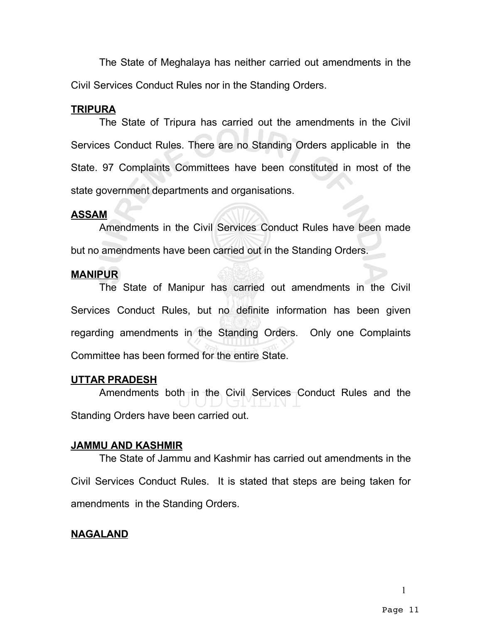The State of Meghalaya has neither carried out amendments in the Civil Services Conduct Rules nor in the Standing Orders.

## **TRIPURA**

The State of Tripura has carried out the amendments in the Civil Services Conduct Rules. There are no Standing Orders applicable in the State. 97 Complaints Committees have been constituted in most of the state government departments and organisations.

## **ASSAM**

Amendments in the Civil Services Conduct Rules have been made but no amendments have been carried out in the Standing Orders.

## **MANIPUR**

The State of Manipur has carried out amendments in the Civil Services Conduct Rules, but no definite information has been given regarding amendments in the Standing Orders. Only one Complaints Committee has been formed for the entire State.

## **UTTAR PRADESH**

Amendments both in the Civil Services Conduct Rules and the Standing Orders have been carried out.

## **JAMMU AND KASHMIR**

The State of Jammu and Kashmir has carried out amendments in the Civil Services Conduct Rules. It is stated that steps are being taken for amendments in the Standing Orders.

## **NAGALAND**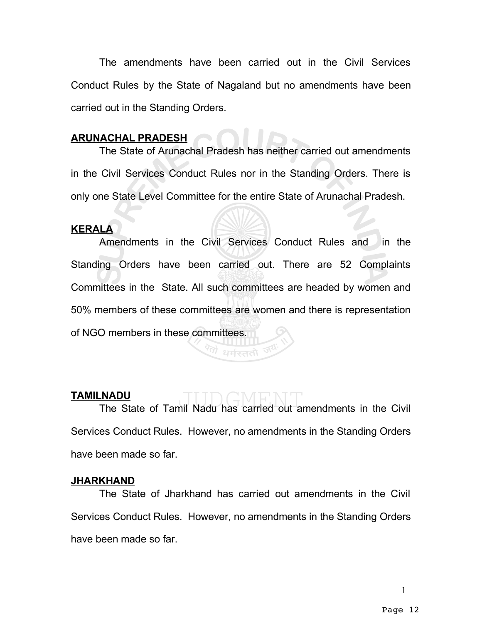The amendments have been carried out in the Civil Services Conduct Rules by the State of Nagaland but no amendments have been carried out in the Standing Orders.

#### **ARUNACHAL PRADESH**

The State of Arunachal Pradesh has neither carried out amendments in the Civil Services Conduct Rules nor in the Standing Orders. There is only one State Level Committee for the entire State of Arunachal Pradesh.

## **KERALA**

Amendments in the Civil Services Conduct Rules and in the Standing Orders have been carried out. There are 52 Complaints Committees in the State. All such committees are headed by women and 50% members of these committees are women and there is representation of NGO members in these committees.

धर्मस्ततो

## **TAMILNADU**

The State of Tamil Nadu has carried out amendments in the Civil Services Conduct Rules. However, no amendments in the Standing Orders have been made so far.

#### **JHARKHAND**

The State of Jharkhand has carried out amendments in the Civil Services Conduct Rules. However, no amendments in the Standing Orders have been made so far.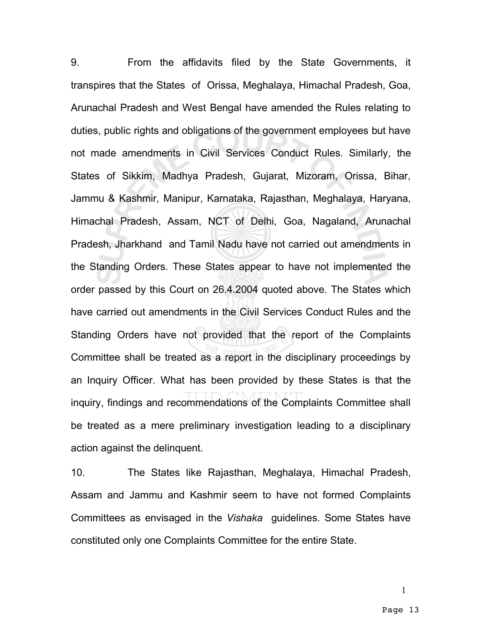9. From the affidavits filed by the State Governments, it transpires that the States of Orissa, Meghalaya, Himachal Pradesh, Goa, Arunachal Pradesh and West Bengal have amended the Rules relating to duties, public rights and obligations of the government employees but have not made amendments in Civil Services Conduct Rules. Similarly, the States of Sikkim, Madhya Pradesh, Gujarat, Mizoram, Orissa, Bihar, Jammu & Kashmir, Manipur, Karnataka, Rajasthan, Meghalaya, Haryana, Himachal Pradesh, Assam, NCT of Delhi, Goa, Nagaland, Arunachal Pradesh, Jharkhand and Tamil Nadu have not carried out amendments in the Standing Orders. These States appear to have not implemented the order passed by this Court on 26.4.2004 quoted above. The States which have carried out amendments in the Civil Services Conduct Rules and the Standing Orders have not provided that the report of the Complaints Committee shall be treated as a report in the disciplinary proceedings by an Inquiry Officer. What has been provided by these States is that the inquiry, findings and recommendations of the Complaints Committee shall be treated as a mere preliminary investigation leading to a disciplinary action against the delinquent.

10. The States like Rajasthan, Meghalaya, Himachal Pradesh, Assam and Jammu and Kashmir seem to have not formed Complaints Committees as envisaged in the *Vishaka* guidelines. Some States have constituted only one Complaints Committee for the entire State.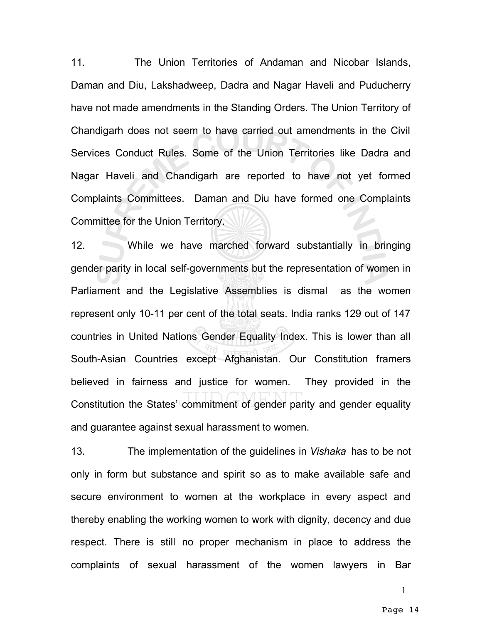11. The Union Territories of Andaman and Nicobar Islands, Daman and Diu, Lakshadweep, Dadra and Nagar Haveli and Puducherry have not made amendments in the Standing Orders. The Union Territory of Chandigarh does not seem to have carried out amendments in the Civil Services Conduct Rules. Some of the Union Territories like Dadra and Nagar Haveli and Chandigarh are reported to have not yet formed Complaints Committees. Daman and Diu have formed one Complaints Committee for the Union Territory.

12. While we have marched forward substantially in bringing gender parity in local self-governments but the representation of women in Parliament and the Legislative Assemblies is dismal as the women represent only 10-11 per cent of the total seats. India ranks 129 out of 147 countries in United Nations Gender Equality Index. This is lower than all South-Asian Countries except Afghanistan. Our Constitution framers believed in fairness and justice for women. They provided in the Constitution the States' commitment of gender parity and gender equality and guarantee against sexual harassment to women.

13. The implementation of the guidelines in *Vishaka* has to be not only in form but substance and spirit so as to make available safe and secure environment to women at the workplace in every aspect and thereby enabling the working women to work with dignity, decency and due respect. There is still no proper mechanism in place to address the complaints of sexual harassment of the women lawyers in Bar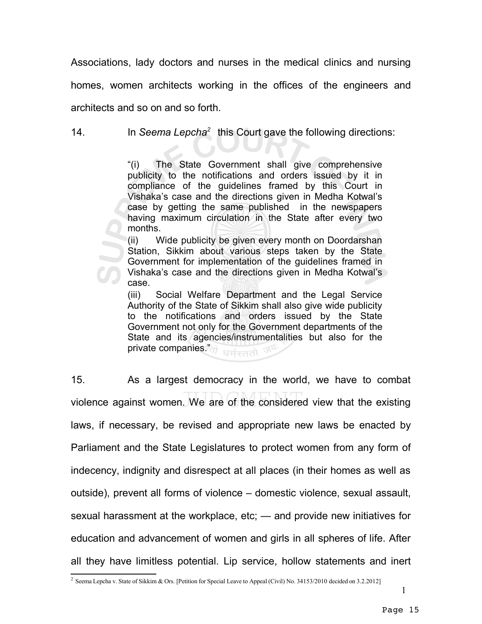Associations, lady doctors and nurses in the medical clinics and nursing homes, women architects working in the offices of the engineers and architects and so on and so forth.

14. In Seema Lepcha<sup>[2](#page-14-0)</sup> this Court gave the following directions:

"(i) The State Government shall give comprehensive publicity to the notifications and orders issued by it in compliance of the guidelines framed by this Court in Vishaka's case and the directions given in Medha Kotwal's case by getting the same published in the newspapers having maximum circulation in the State after every two months.

(ii) Wide publicity be given every month on Doordarshan Station, Sikkim about various steps taken by the State Government for implementation of the guidelines framed in Vishaka's case and the directions given in Medha Kotwal's case.

(iii) Social Welfare Department and the Legal Service Authority of the State of Sikkim shall also give wide publicity to the notifications and orders issued by the State Government not only for the Government departments of the State and its agencies/instrumentalities but also for the private companies."

15. As a largest democracy in the world, we have to combat violence against women. We are of the considered view that the existing laws, if necessary, be revised and appropriate new laws be enacted by Parliament and the State Legislatures to protect women from any form of indecency, indignity and disrespect at all places (in their homes as well as outside), prevent all forms of violence – domestic violence, sexual assault, sexual harassment at the workplace, etc; — and provide new initiatives for education and advancement of women and girls in all spheres of life. After all they have limitless potential. Lip service, hollow statements and inert

<span id="page-14-0"></span><sup>2</sup> Seema Lepcha v. State of Sikkim & Ors. [Petition for Special Leave to Appeal (Civil) No. 34153/2010 decided on 3.2.2012]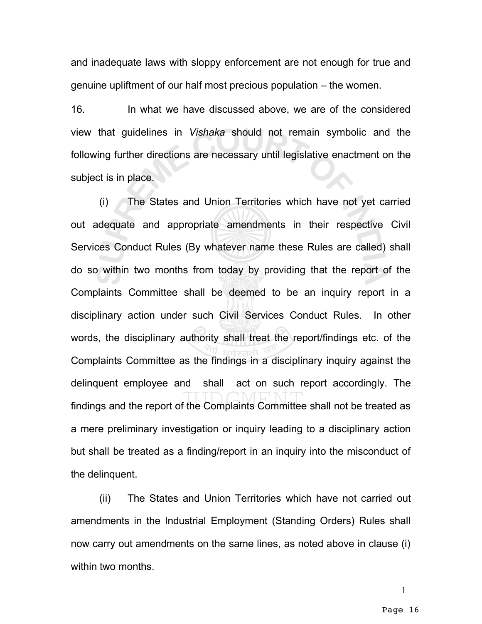and inadequate laws with sloppy enforcement are not enough for true and genuine upliftment of our half most precious population – the women.

16. In what we have discussed above, we are of the considered view that guidelines in *Vishaka* should not remain symbolic and the following further directions are necessary until legislative enactment on the subject is in place.

(i) The States and Union Territories which have not yet carried out adequate and appropriate amendments in their respective Civil Services Conduct Rules (By whatever name these Rules are called) shall do so within two months from today by providing that the report of the Complaints Committee shall be deemed to be an inquiry report in a disciplinary action under such Civil Services Conduct Rules. In other words, the disciplinary authority shall treat the report/findings etc. of the Complaints Committee as the findings in a disciplinary inquiry against the delinquent employee and shall act on such report accordingly. The findings and the report of the Complaints Committee shall not be treated as a mere preliminary investigation or inquiry leading to a disciplinary action but shall be treated as a finding/report in an inquiry into the misconduct of the delinquent.

(ii) The States and Union Territories which have not carried out amendments in the Industrial Employment (Standing Orders) Rules shall now carry out amendments on the same lines, as noted above in clause (i) within two months.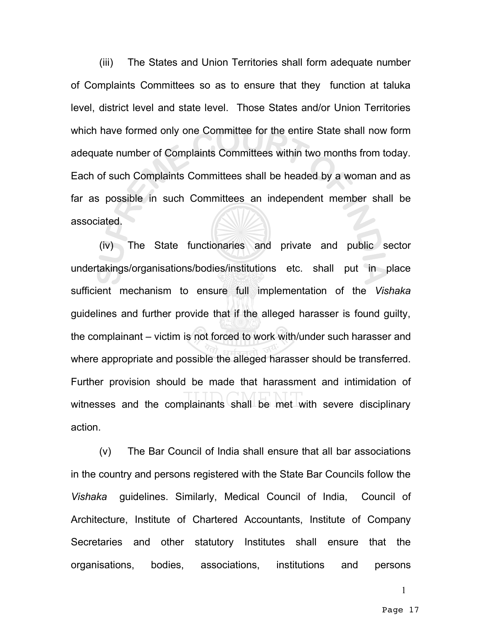(iii) The States and Union Territories shall form adequate number of Complaints Committees so as to ensure that they function at taluka level, district level and state level. Those States and/or Union Territories which have formed only one Committee for the entire State shall now form adequate number of Complaints Committees within two months from today. Each of such Complaints Committees shall be headed by a woman and as far as possible in such Committees an independent member shall be associated.

(iv) The State functionaries and private and public sector undertakings/organisations/bodies/institutions etc. shall put in place sufficient mechanism to ensure full implementation of the *Vishaka* guidelines and further provide that if the alleged harasser is found guilty, the complainant – victim is not forced to work with/under such harasser and where appropriate and possible the alleged harasser should be transferred. Further provision should be made that harassment and intimidation of witnesses and the complainants shall be met with severe disciplinary action.

(v) The Bar Council of India shall ensure that all bar associations in the country and persons registered with the State Bar Councils follow the *Vishaka* guidelines. Similarly, Medical Council of India, Council of Architecture, Institute of Chartered Accountants, Institute of Company Secretaries and other statutory Institutes shall ensure that the organisations, bodies, associations, institutions and persons

1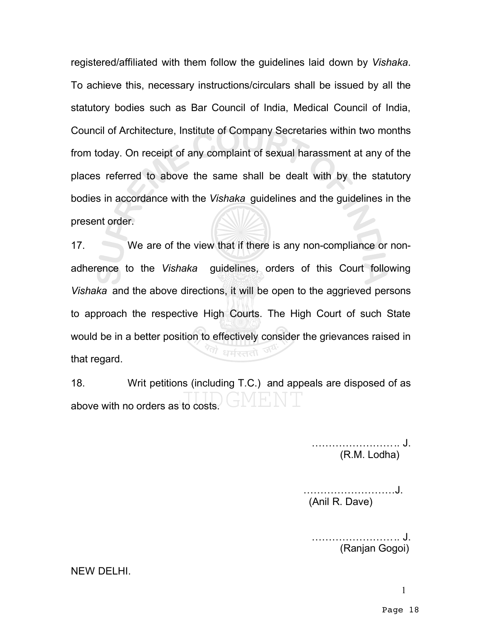registered/affiliated with them follow the guidelines laid down by *Vishaka*. To achieve this, necessary instructions/circulars shall be issued by all the statutory bodies such as Bar Council of India, Medical Council of India, Council of Architecture, Institute of Company Secretaries within two months from today. On receipt of any complaint of sexual harassment at any of the places referred to above the same shall be dealt with by the statutory bodies in accordance with the *Vishaka* guidelines and the guidelines in the present order.

17. We are of the view that if there is any non-compliance or nonadherence to the *Vishaka* guidelines, orders of this Court following *Vishaka* and the above directions, it will be open to the aggrieved persons to approach the respective High Courts. The High Court of such State would be in a better position to effectively consider the grievances raised in that regard.

18. Writ petitions (including T.C.) and appeals are disposed of as IV F.IN above with no orders as to costs.

> …………………….. J. (R.M. Lodha)

 ………………………J. (Anil R. Dave)

> …………………….. J. (Ranjan Gogoi)

NEW DELHI.

1